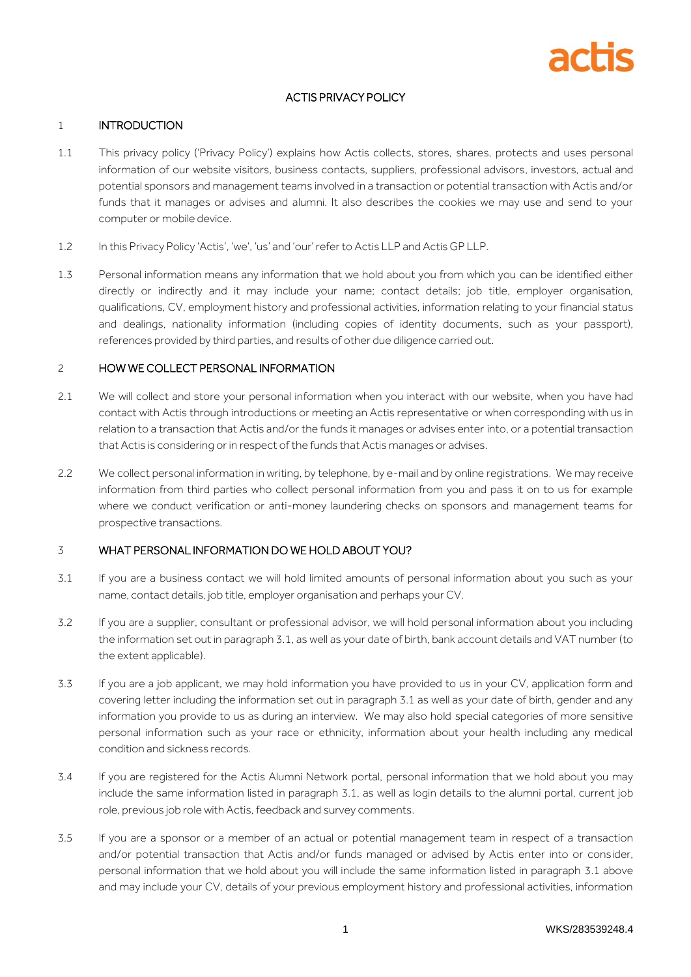

# ACTIS PRIVACY POLICY

## 1 INTRODUCTION

- 1.1 This privacy policy ('Privacy Policy') explains how Actis collects, stores, shares, protects and uses personal information of our website visitors, business contacts, suppliers, professional advisors, investors, actual and potential sponsors and management teams involved in a transaction or potential transaction with Actis and/or funds that it manages or advises and alumni. It also describes the cookies we may use and send to your computer or mobile device.
- 1.2 In this Privacy Policy 'Actis', 'we', 'us' and 'our' refer to Actis LLP and Actis GP LLP.
- 1.3 Personal information means any information that we hold about you from which you can be identified either directly or indirectly and it may include your name; contact details; job title, employer organisation, qualifications, CV, employment history and professional activities, information relating to your financial status and dealings, nationality information (including copies of identity documents, such as your passport), references provided by third parties, and results of other due diligence carried out.

#### 2 HOW WE COLLECT PERSONAL INFORMATION

- 2.1 We will collect and store your personal information when you interact with our website, when you have had contact with Actis through introductions or meeting an Actis representative or when corresponding with us in relation to a transaction that Actis and/or the funds it manages or advises enter into, or a potential transaction that Actis is considering or in respect of the funds that Actis manages or advises.
- 2.2 We collect personal information in writing, by telephone, by e-mail and by online registrations. We may receive information from third parties who collect personal information from you and pass it on to us for example where we conduct verification or anti-money laundering checks on sponsors and management teams for prospective transactions.

## 3 WHAT PERSONAL INFORMATION DO WE HOLD ABOUT YOU?

- 3.1 If you are a business contact we will hold limited amounts of personal information about you such as your name, contact details, job title, employer organisation and perhaps your CV.
- 3.2 If you are a supplier, consultant or professional advisor, we will hold personal information about you including the information set out in paragraph 3.1, as well as your date of birth, bank account details and VAT number (to the extent applicable).
- 3.3 If you are a job applicant, we may hold information you have provided to us in your CV, application form and covering letter including the information set out in paragraph 3.1 as well as your date of birth, gender and any information you provide to us as during an interview. We may also hold special categories of more sensitive personal information such as your race or ethnicity, information about your health including any medical condition and sickness records.
- 3.4 If you are registered for the Actis Alumni Network portal, personal information that we hold about you may include the same information listed in paragraph 3.1, as well as login details to the alumni portal, current job role, previous job role with Actis, feedback and survey comments.
- 3.5 If you are a sponsor or a member of an actual or potential management team in respect of a transaction and/or potential transaction that Actis and/or funds managed or advised by Actis enter into or consider, personal information that we hold about you will include the same information listed in paragraph 3.1 above and may include your CV, details of your previous employment history and professional activities, information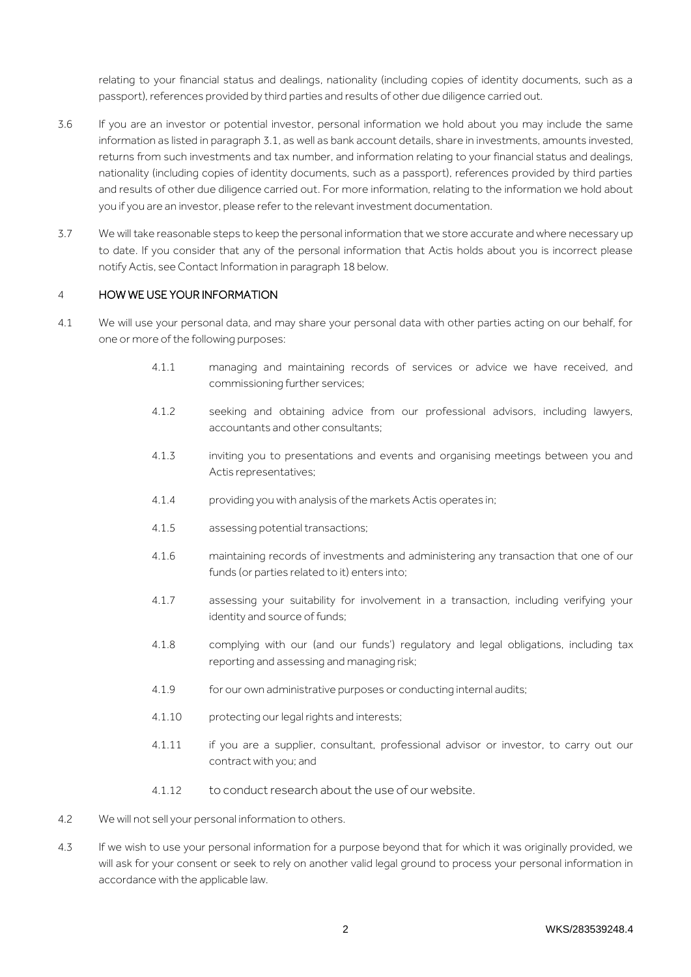relating to your financial status and dealings, nationality (including copies of identity documents, such as a passport), references provided by third parties and results of other due diligence carried out.

- 3.6 If you are an investor or potential investor, personal information we hold about you may include the same information as listed in paragraph 3.1, as well as bank account details, share in investments, amounts invested, returns from such investments and tax number, and information relating to your financial status and dealings, nationality (including copies of identity documents, such as a passport), references provided by third parties and results of other due diligence carried out. For more information, relating to the information we hold about you if you are an investor, please refer to the relevant investment documentation.
- 3.7 We will take reasonable steps to keep the personal information that we store accurate and where necessary up to date. If you consider that any of the personal information that Actis holds about you is incorrect please notify Actis, see Contact Information in paragrap[h 18](#page-6-0) below.

## 4 HOW WE USE YOUR INFORMATION

- 4.1 We will use your personal data, and may share your personal data with other parties acting on our behalf, for one or more of the following purposes:
	- 4.1.1 managing and maintaining records of services or advice we have received, and commissioning further services;
	- 4.1.2 seeking and obtaining advice from our professional advisors, including lawyers, accountants and other consultants;
	- 4.1.3 inviting you to presentations and events and organising meetings between you and Actis representatives;
	- 4.1.4 providing you with analysis of the markets Actis operates in;
	- 4.1.5 assessing potential transactions;
	- 4.1.6 maintaining records of investments and administering any transaction that one of our funds (or parties related to it) enters into;
	- 4.1.7 assessing your suitability for involvement in a transaction, including verifying your identity and source of funds;
	- 4.1.8 complying with our (and our funds') regulatory and legal obligations, including tax reporting and assessing and managing risk;
	- 4.1.9 for our own administrative purposes or conducting internal audits;
	- 4.1.10 protecting our legal rights and interests;
	- 4.1.11 if you are a supplier, consultant, professional advisor or investor, to carry out our contract with you; and
	- 4.1.12 to conduct research about the use of our website.
- 4.2 We will not sell your personal information to others.
- 4.3 If we wish to use your personal information for a purpose beyond that for which it was originally provided, we will ask for your consent or seek to rely on another valid legal ground to process your personal information in accordance with the applicable law.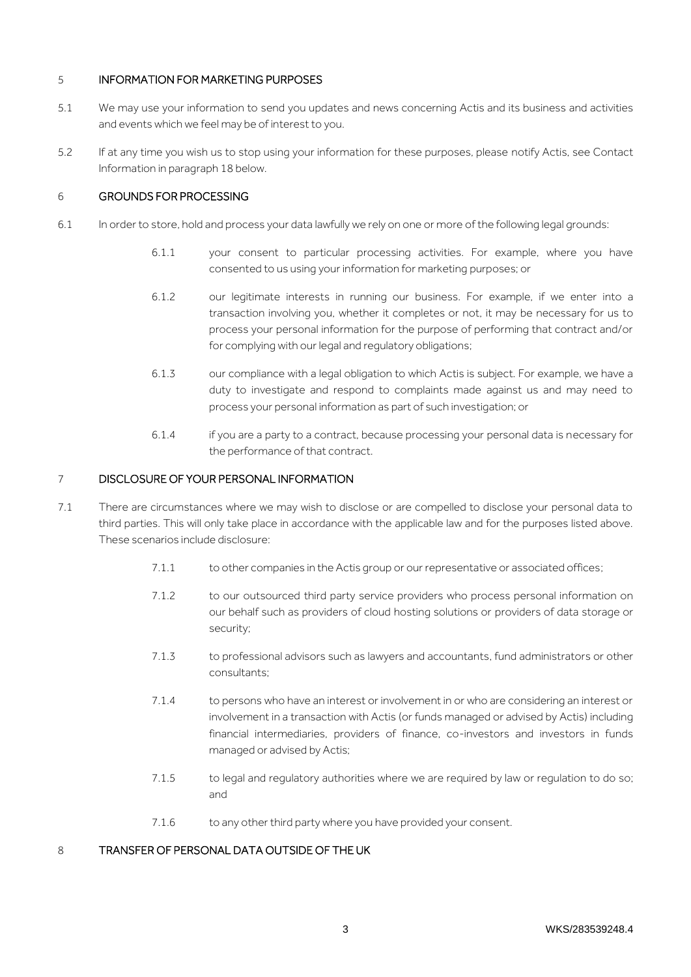## 5 INFORMATION FOR MARKETING PURPOSES

- 5.1 We may use your information to send you updates and news concerning Actis and its business and activities and events which we feel may be of interest to you.
- 5.2 If at any time you wish us to stop using your information for these purposes, please notify Actis, see Contact Information in paragrap[h 18](#page-6-0) below.

## 6 GROUNDS FOR PROCESSING

- 6.1 In order to store, hold and process your data lawfully we rely on one or more of the following legal grounds:
	- 6.1.1 your consent to particular processing activities. For example, where you have consented to us using your information for marketing purposes; or
	- 6.1.2 our legitimate interests in running our business. For example, if we enter into a transaction involving you, whether it completes or not, it may be necessary for us to process your personal information for the purpose of performing that contract and/or for complying with our legal and regulatory obligations;
	- 6.1.3 our compliance with a legal obligation to which Actis is subject. For example, we have a duty to investigate and respond to complaints made against us and may need to process your personal information as part of such investigation; or
	- 6.1.4 if you are a party to a contract, because processing your personal data is necessary for the performance of that contract.

## 7 DISCLOSURE OF YOUR PERSONAL INFORMATION

- 7.1 There are circumstances where we may wish to disclose or are compelled to disclose your personal data to third parties. This will only take place in accordance with the applicable law and for the purposes listed above. These scenarios include disclosure:
	- 7.1.1 to other companies in the Actis group or our representative or associated offices;
	- 7.1.2 to our outsourced third party service providers who process personal information on our behalf such as providers of cloud hosting solutions or providers of data storage or security;
	- 7.1.3 to professional advisors such as lawyers and accountants, fund administrators or other consultants;
	- 7.1.4 to persons who have an interest or involvement in or who are considering an interest or involvement in a transaction with Actis (or funds managed or advised by Actis) including financial intermediaries, providers of finance, co-investors and investors in funds managed or advised by Actis;
	- 7.1.5 to legal and regulatory authorities where we are required by law or regulation to do so; and
	- 7.1.6 to any other third party where you have provided your consent.

## 8 TRANSFER OF PERSONAL DATA OUTSIDE OF THE UK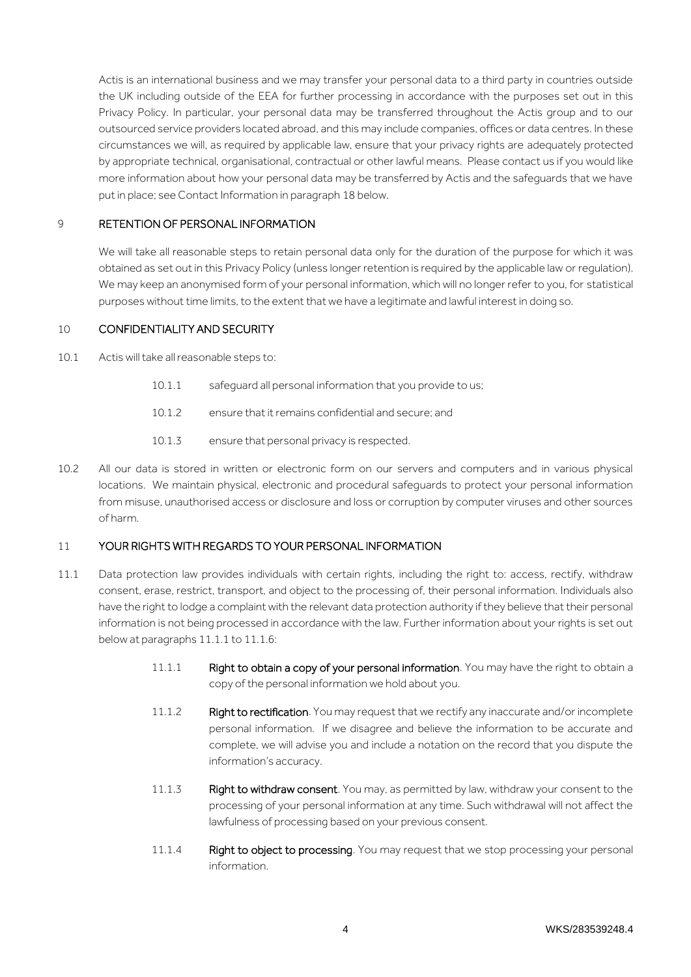Actis is an international business and we may transfer your personal data to a third party in countries outside the UK including outside of the EEA for further processing in accordance with the purposes set out in this Privacy Policy. In particular, your personal data may be transferred throughout the Actis group and to our outsourced service providers located abroad, and this may include companies, offices or data centres. In these circumstances we will, as required by applicable law, ensure that your privacy rights are adequately protected by appropriate technical, organisational, contractual or other lawful means. Please contact us if you would like more information about how your personal data may be transferred by Actis and the safeguards that we have put in place; see Contact Information in paragrap[h 18](#page-6-0) below.

#### 9 RETENTION OF PERSONAL INFORMATION

We will take all reasonable steps to retain personal data only for the duration of the purpose for which it was obtained as set out in this Privacy Policy (unless longer retention is required by the applicable law or regulation). We may keep an anonymised form of your personal information, which will no longer refer to you, for statistical purposes without time limits, to the extent that we have a legitimate and lawful interest in doing so.

#### 10 CONFIDENTIALITY AND SECURITY

10.1 Actis will take all reasonable steps to:

- 10.1.1 safeguard all personal information that you provide to us;
- 10.1.2 ensure that it remains confidential and secure; and
- 10.1.3 ensure that personal privacy is respected.
- 10.2 All our data is stored in written or electronic form on our servers and computers and in various physical locations. We maintain physical, electronic and procedural safeguards to protect your personal information from misuse, unauthorised access or disclosure and loss or corruption by computer viruses and other sources of harm.

#### 11 YOUR RIGHTS WITH REGARDS TO YOUR PERSONAL INFORMATION

- 11.1 Data protection law provides individuals with certain rights, including the right to: access, rectify, withdraw consent, erase, restrict, transport, and object to the processing of, their personal information. Individuals also have the right to lodge a complaint with the relevant data protection authority if they believe that their personal information is not being processed in accordance with the law. Further information about your rights is set out below at paragraphs 11.1.1 to 11.1.6:
	- 11.1.1 Right to obtain a copy of your personal information. You may have the right to obtain a copy of the personal information we hold about you.
	- 11.1.2 Right to rectification. You may request that we rectify any inaccurate and/or incomplete personal information. If we disagree and believe the information to be accurate and complete, we will advise you and include a notation on the record that you dispute the information's accuracy.
	- 11.1.3 Right to withdraw consent. You may, as permitted by law, withdraw your consent to the processing of your personal information at any time. Such withdrawal will not affect the lawfulness of processing based on your previous consent.
	- 11.1.4 Right to object to processing. You may request that we stop processing your personal information.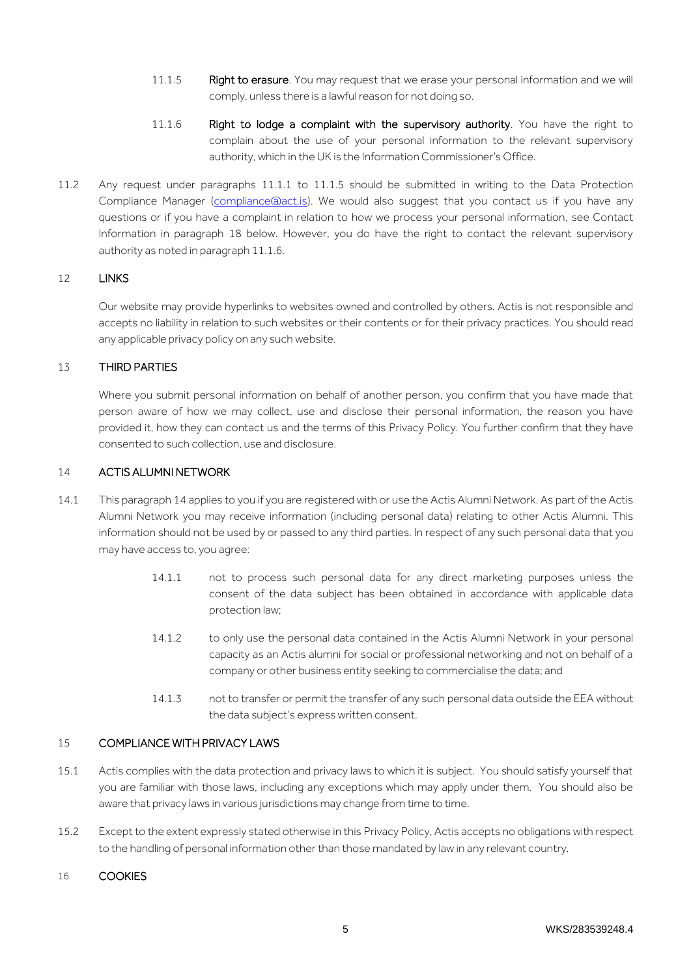- 11.1.5 Right to erasure. You may request that we erase your personal information and we will comply, unless there is a lawful reason for not doing so.
- 11.1.6 Right to lodge a complaint with the supervisory authority. You have the right to complain about the use of your personal information to the relevant supervisory authority, which in the UK is the Information Commissioner's Office.
- 11.2 Any request under paragraphs 11.1.1 to 11.1.5 should be submitted in writing to the Data Protection Compliance Manager [\(compliance@act.is\)](mailto:compliance@act.is). We would also suggest that you contact us if you have any questions or if you have a complaint in relation to how we process your personal information, see Contact Information in paragraph [18](#page-6-0) below. However, you do have the right to contact the relevant supervisory authority as noted in paragraph 11.1.6.

## 12 LINKS

Our website may provide hyperlinks to websites owned and controlled by others. Actis is not responsible and accepts no liability in relation to such websites or their contents or for their privacy practices. You should read any applicable privacy policy on any such website.

#### 13 THIRD PARTIES

Where you submit personal information on behalf of another person, you confirm that you have made that person aware of how we may collect, use and disclose their personal information, the reason you have provided it, how they can contact us and the terms of this Privacy Policy. You further confirm that they have consented to such collection, use and disclosure.

#### <span id="page-4-0"></span>14 ACTIS ALUMNI NETWORK

- 14.1 This paragraph [14](#page-4-0) applies to you if you are registered with or use the Actis Alumni Network. As part of the Actis Alumni Network you may receive information (including personal data) relating to other Actis Alumni. This information should not be used by or passed to any third parties. In respect of any such personal data that you may have access to, you agree:
	- 14.1.1 not to process such personal data for any direct marketing purposes unless the consent of the data subject has been obtained in accordance with applicable data protection law;
	- 14.1.2 to only use the personal data contained in the Actis Alumni Network in your personal capacity as an Actis alumni for social or professional networking and not on behalf of a company or other business entity seeking to commercialise the data; and
	- 14.1.3 not to transfer or permit the transfer of any such personal data outside the EEA without the data subject's express written consent.

#### 15 COMPLIANCE WITH PRIVACY LAWS

- 15.1 Actis complies with the data protection and privacy laws to which it is subject. You should satisfy yourself that you are familiar with those laws, including any exceptions which may apply under them. You should also be aware that privacy laws in various jurisdictions may change from time to time.
- 15.2 Except to the extent expressly stated otherwise in this Privacy Policy, Actis accepts no obligations with respect to the handling of personal information other than those mandated by law in any relevant country.

#### 16 COOKIES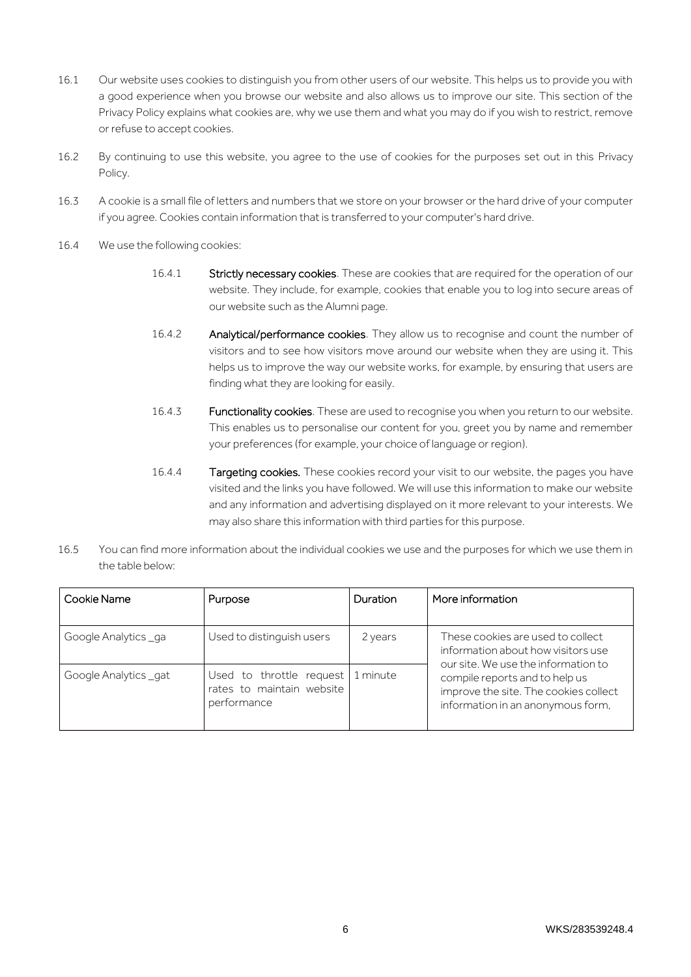- 16.1 Our website uses cookies to distinguish you from other users of our website. This helps us to provide you with a good experience when you browse our website and also allows us to improve our site. This section of the Privacy Policy explains what cookies are, why we use them and what you may do if you wish to restrict, remove or refuse to accept cookies.
- 16.2 By continuing to use this website, you agree to the use of cookies for the purposes set out in this Privacy Policy.
- 16.3 A cookie is a small file of letters and numbers that we store on your browser or the hard drive of your computer if you agree. Cookies contain information that is transferred to your computer's hard drive.
- 16.4 We use the following cookies:
	- 16.4.1 Strictly necessary cookies. These are cookies that are required for the operation of our website. They include, for example, cookies that enable you to log into secure areas of our website such as the Alumni page.
	- 16.4.2 **Analytical/performance cookies**. They allow us to recognise and count the number of visitors and to see how visitors move around our website when they are using it. This helps us to improve the way our website works, for example, by ensuring that users are finding what they are looking for easily.
	- 16.4.3 Functionality cookies. These are used to recognise you when you return to our website. This enables us to personalise our content for you, greet you by name and remember your preferences (for example, your choice of language or region).
	- 16.4.4 Targeting cookies. These cookies record your visit to our website, the pages you have visited and the links you have followed. We will use this information to make our website and any information and advertising displayed on it more relevant to your interests. We may also share this information with third parties for this purpose.
- 16.5 You can find more information about the individual cookies we use and the purposes for which we use them in the table below:

| Cookie Name          | Purpose                                                              | Duration | More information                                                                                                                                                                                                               |
|----------------------|----------------------------------------------------------------------|----------|--------------------------------------------------------------------------------------------------------------------------------------------------------------------------------------------------------------------------------|
| Google Analytics _ga | Used to distinguish users                                            | 2 years  | These cookies are used to collect<br>information about how visitors use<br>our site. We use the information to<br>compile reports and to help us<br>improve the site. The cookies collect<br>information in an anonymous form, |
| Google Analytics_gat | Used to throttle request<br>rates to maintain website<br>performance | 1 minute |                                                                                                                                                                                                                                |